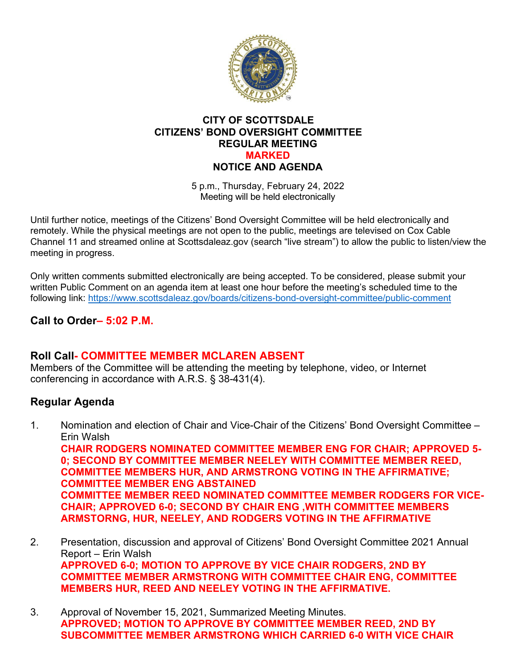

#### **CITY OF SCOTTSDALE CITIZENS' BOND OVERSIGHT COMMITTEE REGULAR MEETING MARKED NOTICE AND AGENDA**

5 p.m., Thursday, February 24, 2022 Meeting will be held electronically

Until further notice, meetings of the Citizens' Bond Oversight Committee will be held electronically and remotely. While the physical meetings are not open to the public, meetings are televised on Cox Cable Channel 11 and streamed online at Scottsdaleaz.gov (search "live stream") to allow the public to listen/view the meeting in progress.

Only written comments submitted electronically are being accepted. To be considered, please submit your written Public Comment on an agenda item at least one hour before the meeting's scheduled time to the following link:<https://www.scottsdaleaz.gov/boards/citizens-bond-oversight-committee/public-comment>

# **Call to Order– 5:02 P.M.**

# **Roll Call- COMMITTEE MEMBER MCLAREN ABSENT**

Members of the Committee will be attending the meeting by telephone, video, or Internet conferencing in accordance with A.R.S. § 38-431(4).

# **Regular Agenda**

1. Nomination and election of Chair and Vice-Chair of the Citizens' Bond Oversight Committee – Erin Walsh **CHAIR RODGERS NOMINATED COMMITTEE MEMBER ENG FOR CHAIR; APPROVED 5-**

**0; SECOND BY COMMITTEE MEMBER NEELEY WITH COMMITTEE MEMBER REED, COMMITTEE MEMBERS HUR, AND ARMSTRONG VOTING IN THE AFFIRMATIVE; COMMITTEE MEMBER ENG ABSTAINED COMMITTEE MEMBER REED NOMINATED COMMITTEE MEMBER RODGERS FOR VICE-CHAIR; APPROVED 6-0; SECOND BY CHAIR ENG ,WITH COMMITTEE MEMBERS ARMSTORNG, HUR, NEELEY, AND RODGERS VOTING IN THE AFFIRMATIVE**

- 2. Presentation, discussion and approval of Citizens' Bond Oversight Committee 2021 Annual Report – Erin Walsh **APPROVED 6-0; MOTION TO APPROVE BY VICE CHAIR RODGERS, 2ND BY COMMITTEE MEMBER ARMSTRONG WITH COMMITTEE CHAIR ENG, COMMITTEE MEMBERS HUR, REED AND NEELEY VOTING IN THE AFFIRMATIVE.**
- 3. Approval of November 15, 2021, Summarized Meeting Minutes. **APPROVED; MOTION TO APPROVE BY COMMITTEE MEMBER REED, 2ND BY SUBCOMMITTEE MEMBER ARMSTRONG WHICH CARRIED 6-0 WITH VICE CHAIR**